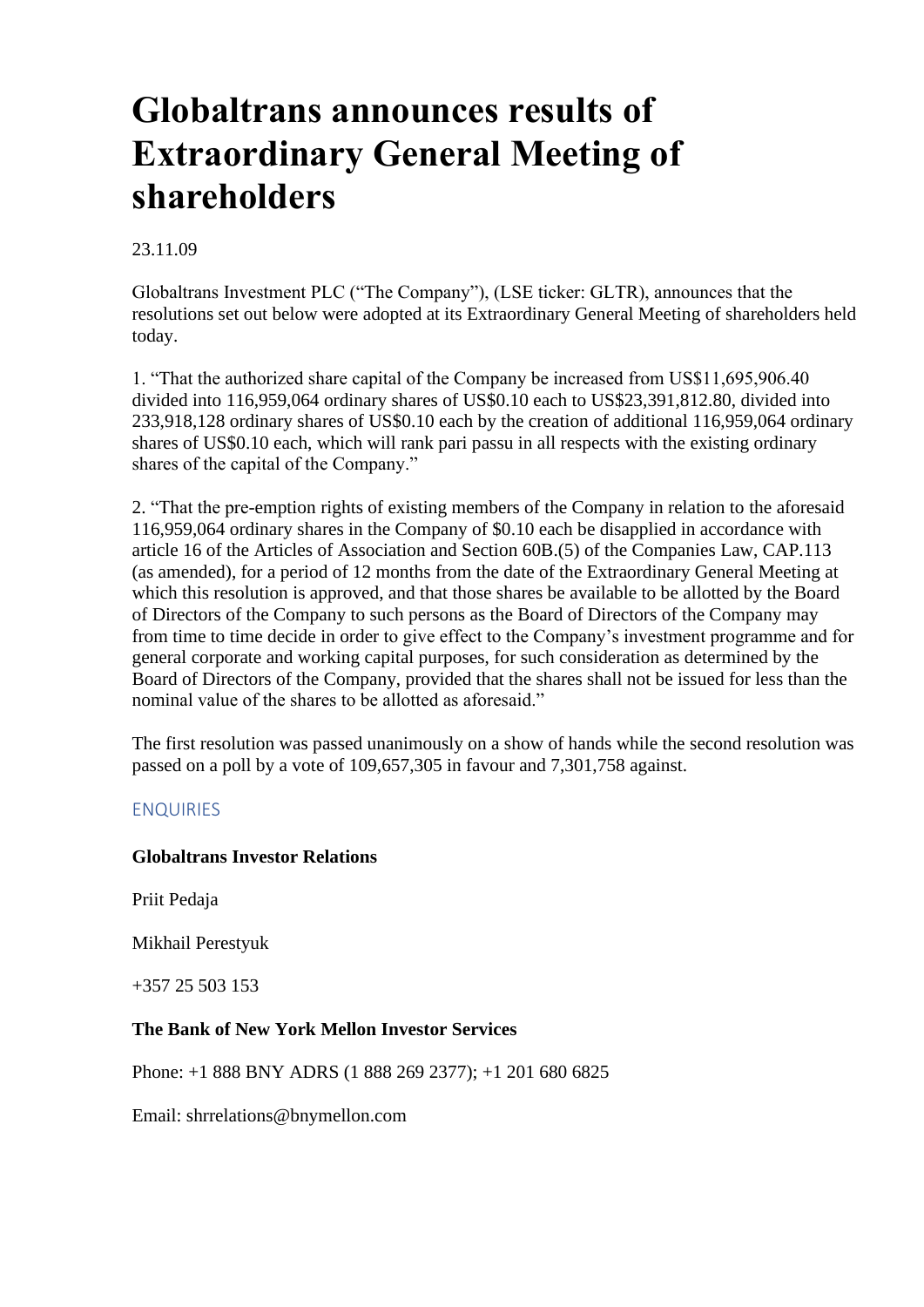# **Globaltrans announces results of Extraordinary General Meeting of shareholders**

### 23.11.09

Globaltrans Investment PLC ("The Company"), (LSE ticker: GLTR), announces that the resolutions set out below were adopted at its Extraordinary General Meeting of shareholders held today.

1. "That the authorized share capital of the Company be increased from US\$11,695,906.40 divided into 116,959,064 ordinary shares of US\$0.10 each to US\$23,391,812.80, divided into 233,918,128 ordinary shares of US\$0.10 each by the creation of additional 116,959,064 ordinary shares of US\$0.10 each, which will rank pari passu in all respects with the existing ordinary shares of the capital of the Company."

2. "That the pre-emption rights of existing members of the Company in relation to the aforesaid 116,959,064 ordinary shares in the Company of \$0.10 each be disapplied in accordance with article 16 of the Articles of Association and Section 60B.(5) of the Companies Law, CAP.113 (as amended), for a period of 12 months from the date of the Extraordinary General Meeting at which this resolution is approved, and that those shares be available to be allotted by the Board of Directors of the Company to such persons as the Board of Directors of the Company may from time to time decide in order to give effect to the Company's investment programme and for general corporate and working capital purposes, for such consideration as determined by the Board of Directors of the Company, provided that the shares shall not be issued for less than the nominal value of the shares to be allotted as aforesaid."

The first resolution was passed unanimously on a show of hands while the second resolution was passed on a poll by a vote of 109,657,305 in favour and 7,301,758 against.

#### ENQUIRIES

#### **Globaltrans Investor Relations**

Priit Pedaja

Mikhail Perestyuk

+357 25 503 153

#### **The Bank of New York Mellon Investor Services**

Phone: +1 888 BNY ADRS (1 888 269 2377); +1 201 680 6825

Email: shrrelations@bnymellon.com